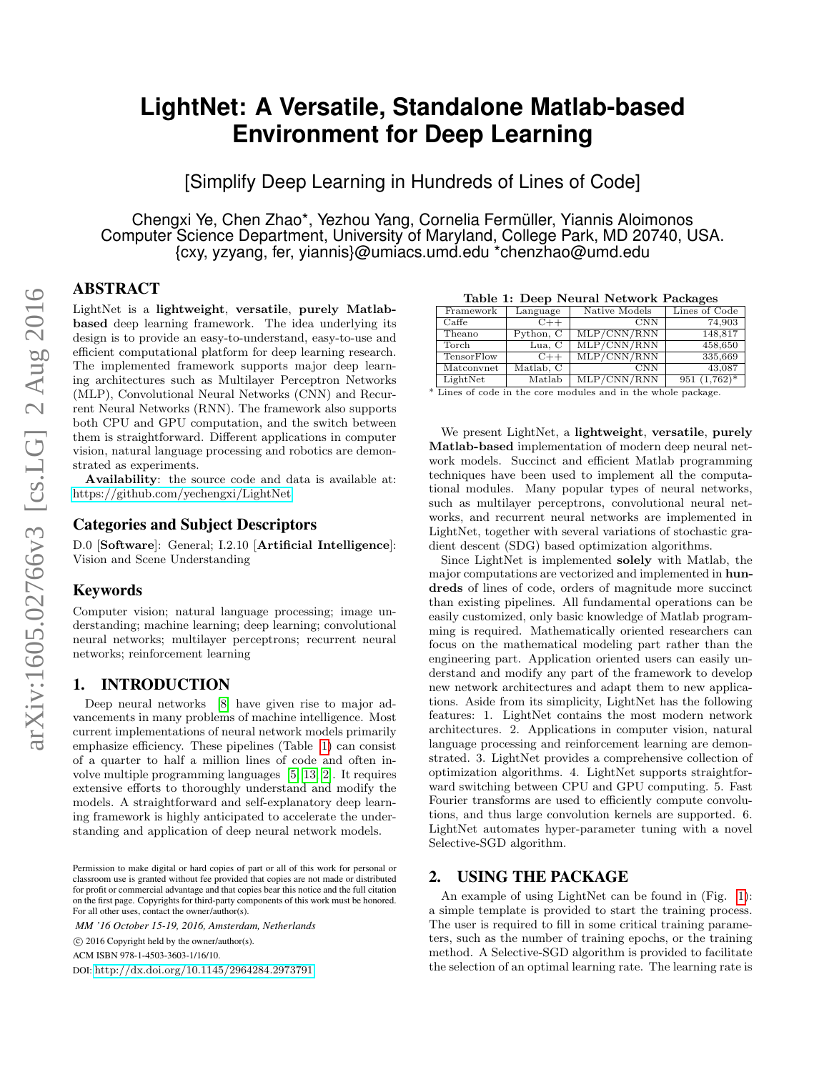# **LightNet: A Versatile, Standalone Matlab-based Environment for Deep Learning**

[Simplify Deep Learning in Hundreds of Lines of Code]

Chengxi Ye, Chen Zhao\*, Yezhou Yang, Cornelia Fermüller, Yiannis Aloimonos Computer Science Department, University of Maryland, College Park, MD 20740, USA. {cxy, yzyang, fer, yiannis}@umiacs.umd.edu \*chenzhao@umd.edu

## ABSTRACT

LightNet is a lightweight, versatile, purely Matlabbased deep learning framework. The idea underlying its design is to provide an easy-to-understand, easy-to-use and efficient computational platform for deep learning research. The implemented framework supports major deep learning architectures such as Multilayer Perceptron Networks (MLP), Convolutional Neural Networks (CNN) and Recurrent Neural Networks (RNN). The framework also supports both CPU and GPU computation, and the switch between them is straightforward. Different applications in computer vision, natural language processing and robotics are demonstrated as experiments.

Availability: the source code and data is available at: <https://github.com/yechengxi/LightNet>

## Categories and Subject Descriptors

D.0 [Software]: General; I.2.10 [Artificial Intelligence]: Vision and Scene Understanding

#### Keywords

Computer vision; natural language processing; image understanding; machine learning; deep learning; convolutional neural networks; multilayer perceptrons; recurrent neural networks; reinforcement learning

## 1. INTRODUCTION

Deep neural networks [\[8\]](#page-3-0) have given rise to major advancements in many problems of machine intelligence. Most current implementations of neural network models primarily emphasize efficiency. These pipelines (Table [1\)](#page-0-0) can consist of a quarter to half a million lines of code and often involve multiple programming languages [\[5,](#page-3-1) [13,](#page-3-2) [2\]](#page-3-3). It requires extensive efforts to thoroughly understand and modify the models. A straightforward and self-explanatory deep learning framework is highly anticipated to accelerate the understanding and application of deep neural network models.

*MM '16 October 15-19, 2016, Amsterdam, Netherlands*

c 2016 Copyright held by the owner/author(s).

DOI: <http://dx.doi.org/10.1145/2964284.2973791>

<span id="page-0-0"></span>Table 1: Deep Neural Network Packages

| rapic 1. Deep ricaral ricework I achages |                   |           |               |                   |
|------------------------------------------|-------------------|-----------|---------------|-------------------|
|                                          | Framework         | Language  | Native Models | Lines of Code     |
|                                          | $C$ affe          | $C++$     | <b>CNN</b>    | 74.903            |
|                                          | Theano            | Python, C | MLP/CNN/RNN   | 148,817           |
|                                          | Torch             | Lua, C    | MLP/CNN/RNN   | 458.650           |
|                                          | <b>TensorFlow</b> | $C++$     | MLP/CNN/RNN   | 335,669           |
|                                          | Matconvnet        | Matlab, C | <b>CNN</b>    | 43.087            |
|                                          | LightNet          | Matlah    | MLP/CNN/RNN   | $(1.762)*$<br>951 |

 $\begin{array}{c|c|c|c|c} \text{LightNet} & \text{Matlab} & \text{MLP/CNN/RNN} & 951 (1,762)^* \\ \hline \end{array}$  <br> \* Lines of code in the core modules and in the whole package.

We present LightNet, a lightweight, versatile, purely Matlab-based implementation of modern deep neural network models. Succinct and efficient Matlab programming techniques have been used to implement all the computational modules. Many popular types of neural networks, such as multilayer perceptrons, convolutional neural networks, and recurrent neural networks are implemented in LightNet, together with several variations of stochastic gradient descent (SDG) based optimization algorithms.

Since LightNet is implemented solely with Matlab, the major computations are vectorized and implemented in hundreds of lines of code, orders of magnitude more succinct than existing pipelines. All fundamental operations can be easily customized, only basic knowledge of Matlab programming is required. Mathematically oriented researchers can focus on the mathematical modeling part rather than the engineering part. Application oriented users can easily understand and modify any part of the framework to develop new network architectures and adapt them to new applications. Aside from its simplicity, LightNet has the following features: 1. LightNet contains the most modern network architectures. 2. Applications in computer vision, natural language processing and reinforcement learning are demonstrated. 3. LightNet provides a comprehensive collection of optimization algorithms. 4. LightNet supports straightforward switching between CPU and GPU computing. 5. Fast Fourier transforms are used to efficiently compute convolutions, and thus large convolution kernels are supported. 6. LightNet automates hyper-parameter tuning with a novel Selective-SGD algorithm.

#### 2. USING THE PACKAGE

An example of using LightNet can be found in (Fig. [1\)](#page-1-0): a simple template is provided to start the training process. The user is required to fill in some critical training parameters, such as the number of training epochs, or the training method. A Selective-SGD algorithm is provided to facilitate the selection of an optimal learning rate. The learning rate is

Permission to make digital or hard copies of part or all of this work for personal or classroom use is granted without fee provided that copies are not made or distributed for profit or commercial advantage and that copies bear this notice and the full citation on the first page. Copyrights for third-party components of this work must be honored. For all other uses, contact the owner/author(s).

ACM ISBN 978-1-4503-3603-1/16/10.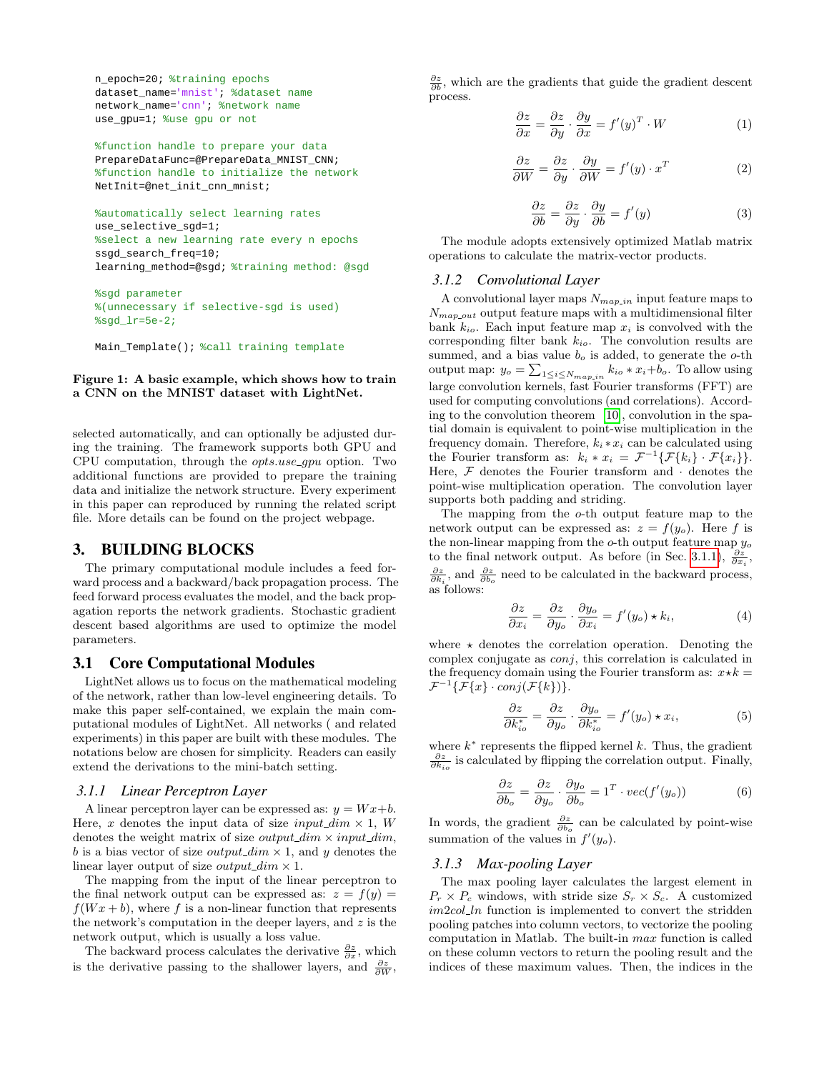```
n_epoch=20; %training epochs
dataset name='mnist'; %dataset name
network_name='cnn'; %network name
use_gpu=1; %use gpu or not
```
%function handle to prepare your data PrepareDataFunc=@PrepareData\_MNIST\_CNN; %function handle to initialize the network NetInit=@net\_init\_cnn\_mnist;

```
%automatically select learning rates
use_selective_sgd=1; 
%select a new learning rate every n epochs
ssgd_search_freq=10; 
learning_method=@sgd; %training method: @sgd
```
%sgd parameter %(unnecessary if selective-sgd is used) %sgd\_lr=5e-2;

<span id="page-1-0"></span>Main\_Template(); %call training template

#### Figure 1: A basic example, which shows how to train a CNN on the MNIST dataset with LightNet.

selected automatically, and can optionally be adjusted during the training. The framework supports both GPU and CPU computation, through the opts.use gpu option. Two additional functions are provided to prepare the training data and initialize the network structure. Every experiment in this paper can reproduced by running the related script file. More details can be found on the project webpage.

## 3. BUILDING BLOCKS

The primary computational module includes a feed forward process and a backward/back propagation process. The feed forward process evaluates the model, and the back propagation reports the network gradients. Stochastic gradient descent based algorithms are used to optimize the model parameters.

#### 3.1 Core Computational Modules

LightNet allows us to focus on the mathematical modeling of the network, rather than low-level engineering details. To make this paper self-contained, we explain the main computational modules of LightNet. All networks ( and related experiments) in this paper are built with these modules. The notations below are chosen for simplicity. Readers can easily extend the derivations to the mini-batch setting.

#### <span id="page-1-1"></span>*3.1.1 Linear Perceptron Layer*

A linear perceptron layer can be expressed as:  $y = Wx+b$ . Here, x denotes the input data of size input\_dim  $\times$  1, W denotes the weight matrix of size *output\_dim*  $\times$  *input\_dim*, b is a bias vector of size *output\_dim*  $\times$  1, and y denotes the linear layer output of size *output\_dim*  $\times$  1.

The mapping from the input of the linear perceptron to the final network output can be expressed as:  $z = f(y)$  $f(Wx + b)$ , where f is a non-linear function that represents the network's computation in the deeper layers, and  $z$  is the network output, which is usually a loss value.

The backward process calculates the derivative  $\frac{\partial z}{\partial x}$ , which is the derivative passing to the shallower layers, and  $\frac{\partial z}{\partial W}$ ,

 $\frac{\partial z}{\partial b}$ , which are the gradients that guide the gradient descent process.

$$
\frac{\partial z}{\partial x} = \frac{\partial z}{\partial y} \cdot \frac{\partial y}{\partial x} = f'(y)^T \cdot W \tag{1}
$$

$$
\frac{\partial z}{\partial W} = \frac{\partial z}{\partial y} \cdot \frac{\partial y}{\partial W} = f'(y) \cdot x^T \tag{2}
$$

$$
\frac{\partial z}{\partial b} = \frac{\partial z}{\partial y} \cdot \frac{\partial y}{\partial b} = f'(y)
$$
 (3)

The module adopts extensively optimized Matlab matrix operations to calculate the matrix-vector products.

#### *3.1.2 Convolutional Layer*

A convolutional layer maps  $N_{map\_in}$  input feature maps to  $N_{map-out}$  output feature maps with a multidimensional filter bank  $k_{io}$ . Each input feature map  $x_i$  is convolved with the corresponding filter bank  $k_{io}$ . The convolution results are summed, and a bias value  $b<sub>o</sub>$  is added, to generate the  $o$ -th output map:  $y_o = \sum_{1 \leq i \leq N_{map\_in}} k_{io} * x_i + b_o$ . To allow using large convolution kernels, fast Fourier transforms (FFT) are used for computing convolutions (and correlations). According to the convolution theorem [\[10\]](#page-3-4), convolution in the spatial domain is equivalent to point-wise multiplication in the frequency domain. Therefore,  $k_i * x_i$  can be calculated using the Fourier transform as:  $k_i * x_i = \mathcal{F}^{-1}{\{\mathcal{F}\{k_i\} \cdot \mathcal{F}\{x_i\}\}}.$ Here,  $\mathcal F$  denotes the Fourier transform and  $\cdot$  denotes the point-wise multiplication operation. The convolution layer supports both padding and striding.

The mapping from the o-th output feature map to the network output can be expressed as:  $z = f(y_o)$ . Here f is the non-linear mapping from the  $o$ -th output feature map  $y_o$ to the final network output. As before (in Sec. [3.1.1\)](#page-1-1),  $\frac{\partial z}{\partial x_i}$ ,  $\frac{\partial z}{\partial k_i}$ , and  $\frac{\partial z}{\partial b_o}$  need to be calculated in the backward process, as follows:

$$
\frac{\partial z}{\partial x_i} = \frac{\partial z}{\partial y_o} \cdot \frac{\partial y_o}{\partial x_i} = f'(y_o) \star k_i,
$$
 (4)

where  $\star$  denotes the correlation operation. Denoting the complex conjugate as conj, this correlation is calculated in the frequency domain using the Fourier transform as:  $x \star k =$  $\mathcal{F}^{-1}{\{\mathcal{F}{x\}} \cdot conj(\mathcal{F}{k})\}.$ 

$$
\frac{\partial z}{\partial k_{io}^*} = \frac{\partial z}{\partial y_o} \cdot \frac{\partial y_o}{\partial k_{io}^*} = f'(y_o) \star x_i,
$$
 (5)

where  $k^*$  represents the flipped kernel  $k$ . Thus, the gradient  $\frac{\partial z}{\partial k_{io}}$  is calculated by flipping the correlation output. Finally,

$$
\frac{\partial z}{\partial b_o} = \frac{\partial z}{\partial y_o} \cdot \frac{\partial y_o}{\partial b_o} = 1^T \cdot vec(f'(y_o))
$$
(6)

In words, the gradient  $\frac{\partial z}{\partial b_o}$  can be calculated by point-wise summation of the values in  $f'(y_o)$ .

#### *3.1.3 Max-pooling Layer*

The max pooling layer calculates the largest element in  $P_r \times P_c$  windows, with stride size  $S_r \times S_c$ . A customized  $im2col\_ln$  function is implemented to convert the stridden pooling patches into column vectors, to vectorize the pooling computation in Matlab. The built-in max function is called on these column vectors to return the pooling result and the indices of these maximum values. Then, the indices in the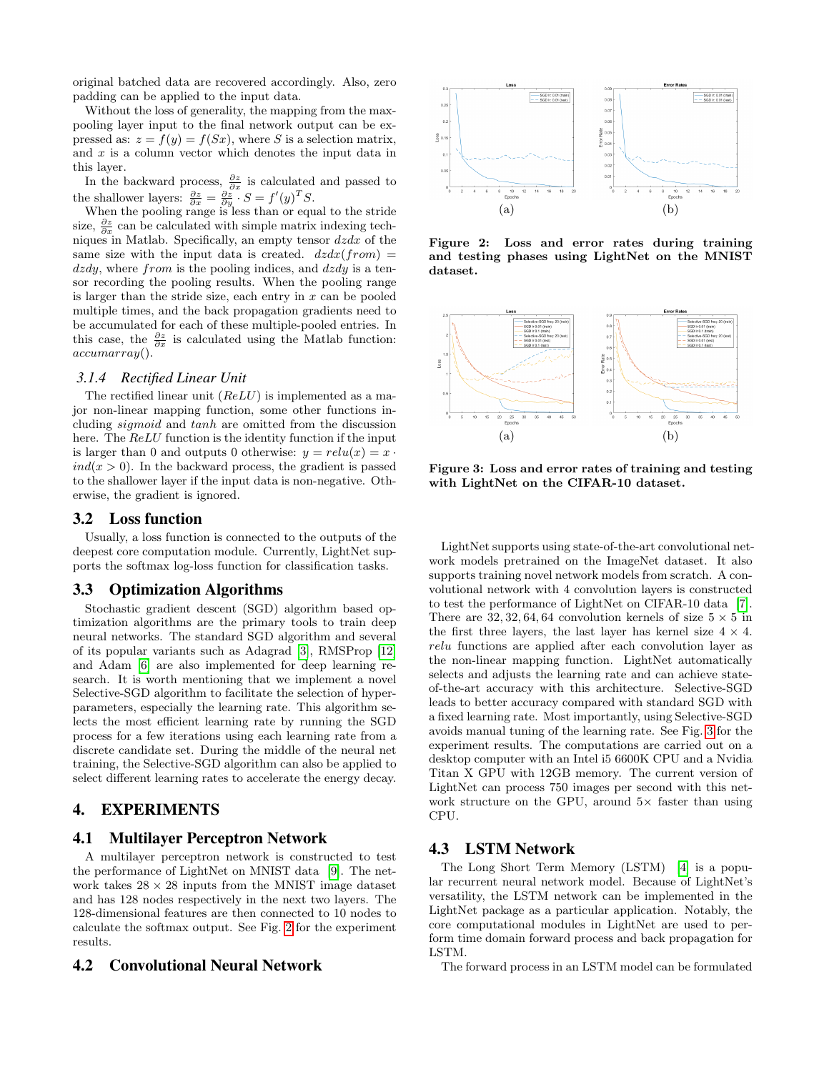original batched data are recovered accordingly. Also, zero padding can be applied to the input data.

Without the loss of generality, the mapping from the maxpooling layer input to the final network output can be expressed as:  $z = f(y) = f(Sx)$ , where S is a selection matrix, and  $x$  is a column vector which denotes the input data in this layer.

In the backward process,  $\frac{\partial z}{\partial x}$  is calculated and passed to the shallower layers:  $\frac{\partial z}{\partial x} = \frac{\partial z}{\partial y} \cdot S = f'(y)^T S$ .

When the pooling range is less than or equal to the stride size,  $\frac{\partial z}{\partial x}$  can be calculated with simple matrix indexing techniques in Matlab. Specifically, an empty tensor  $dzdx$  of the same size with the input data is created.  $dzdx(from) =$  $dzdy$ , where from is the pooling indices, and  $dzdy$  is a tensor recording the pooling results. When the pooling range is larger than the stride size, each entry in  $x$  can be pooled multiple times, and the back propagation gradients need to be accumulated for each of these multiple-pooled entries. In this case, the  $\frac{\partial z}{\partial x}$  is calculated using the Matlab function:  $accuracy()$ .

#### *3.1.4 Rectified Linear Unit*

The rectified linear unit  $(ReLU)$  is implemented as a major non-linear mapping function, some other functions including sigmoid and tanh are omitted from the discussion here. The ReLU function is the identity function if the input is larger than 0 and outputs 0 otherwise:  $y = relu(x) = x$ .  $ind(x > 0)$ . In the backward process, the gradient is passed to the shallower layer if the input data is non-negative. Otherwise, the gradient is ignored.

#### 3.2 Loss function

Usually, a loss function is connected to the outputs of the deepest core computation module. Currently, LightNet supports the softmax log-loss function for classification tasks.

#### 3.3 Optimization Algorithms

Stochastic gradient descent (SGD) algorithm based optimization algorithms are the primary tools to train deep neural networks. The standard SGD algorithm and several of its popular variants such as Adagrad [\[3\]](#page-3-5), RMSProp [\[12\]](#page-3-6) and Adam [\[6\]](#page-3-7) are also implemented for deep learning research. It is worth mentioning that we implement a novel Selective-SGD algorithm to facilitate the selection of hyperparameters, especially the learning rate. This algorithm selects the most efficient learning rate by running the SGD process for a few iterations using each learning rate from a discrete candidate set. During the middle of the neural net training, the Selective-SGD algorithm can also be applied to select different learning rates to accelerate the energy decay.

#### 4. EXPERIMENTS

#### 4.1 Multilayer Perceptron Network

A multilayer perceptron network is constructed to test the performance of LightNet on MNIST data [\[9\]](#page-3-8). The network takes  $28 \times 28$  inputs from the MNIST image dataset and has 128 nodes respectively in the next two layers. The 128-dimensional features are then connected to 10 nodes to calculate the softmax output. See Fig. [2](#page-2-0) for the experiment results.

#### 4.2 Convolutional Neural Network



<span id="page-2-0"></span>Figure 2: Loss and error rates during training and testing phases using LightNet on the MNIST dataset.



<span id="page-2-1"></span>Figure 3: Loss and error rates of training and testing with LightNet on the CIFAR-10 dataset.

LightNet supports using state-of-the-art convolutional network models pretrained on the ImageNet dataset. It also supports training novel network models from scratch. A convolutional network with 4 convolution layers is constructed to test the performance of LightNet on CIFAR-10 data [\[7\]](#page-3-9). There are  $32, 32, 64, 64$  convolution kernels of size  $5 \times 5$  in the first three layers, the last layer has kernel size  $4 \times 4$ . relu functions are applied after each convolution layer as the non-linear mapping function. LightNet automatically selects and adjusts the learning rate and can achieve stateof-the-art accuracy with this architecture. Selective-SGD leads to better accuracy compared with standard SGD with a fixed learning rate. Most importantly, using Selective-SGD avoids manual tuning of the learning rate. See Fig. [3](#page-2-1) for the experiment results. The computations are carried out on a desktop computer with an Intel i5 6600K CPU and a Nvidia Titan X GPU with 12GB memory. The current version of LightNet can process 750 images per second with this network structure on the GPU, around  $5\times$  faster than using CPU.

### 4.3 LSTM Network

The Long Short Term Memory (LSTM) [\[4\]](#page-3-10) is a popular recurrent neural network model. Because of LightNet's versatility, the LSTM network can be implemented in the LightNet package as a particular application. Notably, the core computational modules in LightNet are used to perform time domain forward process and back propagation for LSTM.

The forward process in an LSTM model can be formulated